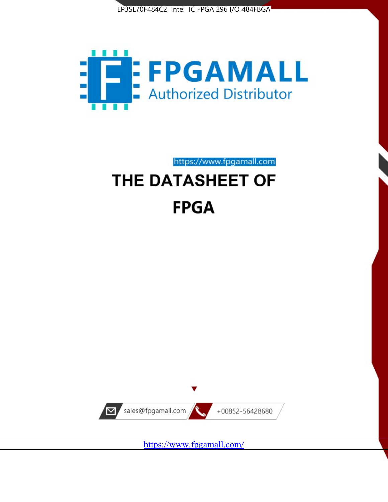



https://www.fpgamall.com THE DATASHEET OF

# **FPGA**



<https://www.fpgamall.com/>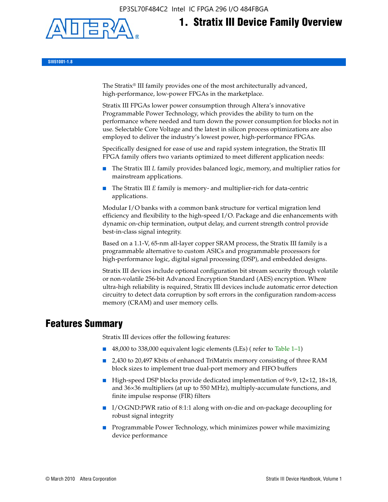EP3SL70F484C2 Intel IC FPGA 296 I/O 484FBGA



# **1. Stratix III Device Family Overview**

**SIII51001-1.8**

The Stratix® III family provides one of the most architecturally advanced, high-performance, low-power FPGAs in the marketplace.

Stratix III FPGAs lower power consumption through Altera's innovative Programmable Power Technology, which provides the ability to turn on the performance where needed and turn down the power consumption for blocks not in use. Selectable Core Voltage and the latest in silicon process optimizations are also employed to deliver the industry's lowest power, high-performance FPGAs.

Specifically designed for ease of use and rapid system integration, the Stratix III FPGA family offers two variants optimized to meet different application needs:

- The Stratix III *L* family provides balanced logic, memory, and multiplier ratios for mainstream applications.
- The Stratix III *E* family is memory- and multiplier-rich for data-centric applications.

Modular I/O banks with a common bank structure for vertical migration lend efficiency and flexibility to the high-speed I/O. Package and die enhancements with dynamic on-chip termination, output delay, and current strength control provide best-in-class signal integrity.

Based on a 1.1-V, 65-nm all-layer copper SRAM process, the Stratix III family is a programmable alternative to custom ASICs and programmable processors for high-performance logic, digital signal processing (DSP), and embedded designs.

Stratix III devices include optional configuration bit stream security through volatile or non-volatile 256-bit Advanced Encryption Standard (AES) encryption. Where ultra-high reliability is required, Stratix III devices include automatic error detection circuitry to detect data corruption by soft errors in the configuration random-access memory (CRAM) and user memory cells.

# **Features Summary**

Stratix III devices offer the following features:

- 48,000 to 338,000 equivalent logic elements (LEs) (refer to Table 1–1)
- 2,430 to 20,497 Kbits of enhanced TriMatrix memory consisting of three RAM block sizes to implement true dual-port memory and FIFO buffers
- High-speed DSP blocks provide dedicated implementation of 9×9, 12×12, 18×18, and 36×36 multipliers (at up to 550 MHz), multiply-accumulate functions, and finite impulse response (FIR) filters
- I/O:GND:PWR ratio of 8:1:1 along with on-die and on-package decoupling for robust signal integrity
- Programmable Power Technology, which minimizes power while maximizing device performance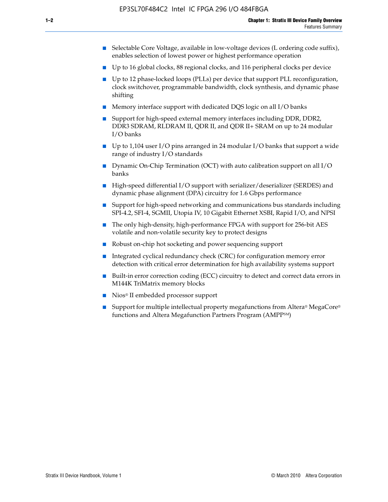- Selectable Core Voltage, available in low-voltage devices (L ordering code suffix), enables selection of lowest power or highest performance operation
- Up to 16 global clocks, 88 regional clocks, and 116 peripheral clocks per device
- Up to 12 phase-locked loops (PLLs) per device that support PLL reconfiguration, clock switchover, programmable bandwidth, clock synthesis, and dynamic phase shifting
- Memory interface support with dedicated DQS logic on all I/O banks
- Support for high-speed external memory interfaces including DDR, DDR2, DDR3 SDRAM, RLDRAM II, QDR II, and QDR II+ SRAM on up to 24 modular I/O banks
- Up to 1,104 user I/O pins arranged in 24 modular I/O banks that support a wide range of industry I/O standards
- Dynamic On-Chip Termination (OCT) with auto calibration support on all  $I/O$ banks
- High-speed differential I/O support with serializer/deserializer (SERDES) and dynamic phase alignment (DPA) circuitry for 1.6 Gbps performance
- Support for high-speed networking and communications bus standards including SPI-4.2, SFI-4, SGMII, Utopia IV, 10 Gigabit Ethernet XSBI, Rapid I/O, and NPSI
- The only high-density, high-performance FPGA with support for 256-bit AES volatile and non-volatile security key to protect designs
- Robust on-chip hot socketing and power sequencing support
- Integrated cyclical redundancy check (CRC) for configuration memory error detection with critical error determination for high availability systems support
- Built-in error correction coding (ECC) circuitry to detect and correct data errors in M144K TriMatrix memory blocks
- Nios<sup>®</sup> II embedded processor support
- Support for multiple intellectual property megafunctions from Altera® MegaCore® functions and Altera Megafunction Partners Program (AMPPSM)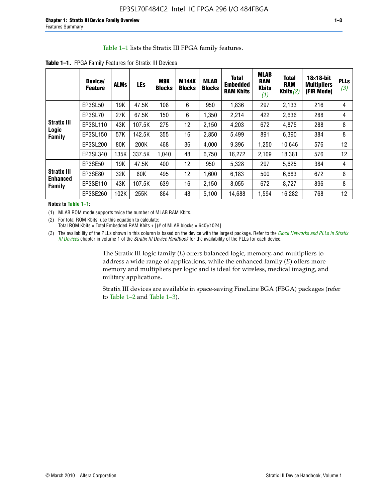#### Table 1–1 lists the Stratix III FPGA family features.

|                    | Device/<br><b>Feature</b> | <b>ALMs</b> | <b>LEs</b> | M9K<br><b>Blocks</b> | <b>M144K</b><br><b>Blocks</b> | <b>MLAB</b><br><b>Blocks</b> | <b>Total</b><br><b>Embedded</b><br><b>RAM Kbits</b> | <b>MLAB</b><br><b>RAM</b><br><b>Kbits</b><br>(1) | <b>Total</b><br><b>RAM</b><br>Kbits $(2)$ | $18\times18$ -bit<br><b>Multipliers</b><br>(FIR Mode) | <b>PLL</b><br>(3, |
|--------------------|---------------------------|-------------|------------|----------------------|-------------------------------|------------------------------|-----------------------------------------------------|--------------------------------------------------|-------------------------------------------|-------------------------------------------------------|-------------------|
|                    | EP3SL50                   | 19K         | 47.5K      | 108                  | 6                             | 950                          | 1,836                                               | 297                                              | 2,133                                     | 216                                                   | 4                 |
|                    | EP3SL70                   | 27K         | 67.5K      | 150                  | 6                             | 1,350                        | 2,214                                               | 422                                              | 2,636                                     | 288                                                   | 4                 |
| <b>Stratix III</b> | EP3SL110                  | 43K         | 107.5K     | 275                  | 12                            | 2,150                        | 4,203                                               | 672                                              | 4,875                                     | 288                                                   | 8                 |
| Logic<br>Family    | EP3SL150                  | 57K         | 142.5K     | 355                  | 16                            | 2,850                        | 5,499                                               | 891                                              | 6,390                                     | 384                                                   | 8                 |
|                    | EP3SL200                  | 80K         | 200K       | 468                  | 36                            | 4,000                        | 9,396                                               | 1,250                                            | 10,646                                    | 576                                                   | 12                |
|                    | EP3SL340                  | 135K        | 337.5K     | 1,040                | 48                            | 6,750                        | 16,272                                              | 2,109                                            | 18,381                                    | 576                                                   | 12                |
|                    | EP3SE50                   | 19K         | 47.5K      | 400                  | 12                            | 950                          | 5,328                                               | 297                                              | 5,625                                     | 384                                                   | 4                 |

**Table 1–1.** FPGA Family Features for Stratix III Devices

**Notes to Table 1–1:**

**Stratix III Enhanced Family**

(1) MLAB ROM mode supports twice the number of MLAB RAM Kbits.

(2) For total ROM Kbits, use this equation to calculate: Total ROM Kbits = Total Embedded RAM Kbits +  $[(# of MLAB blocks × 640)/1024]$ 

(3) The availability of the PLLs shown in this column is based on the device with the largest package. Refer to the *[Clock Networks and PLLs in Stratix](http://www.altera.com/literature/hb/stx3/stx3_siii51006.pdf)  [III Devices](http://www.altera.com/literature/hb/stx3/stx3_siii51006.pdf)* chapter in volume 1 of the *Stratix III Device Handbook* for the availability of the PLLs for each device.

> The Stratix III logic family (*L*) offers balanced logic, memory, and multipliers to address a wide range of applications, while the enhanced family (*E*) offers more memory and multipliers per logic and is ideal for wireless, medical imaging, and military applications.

EP3SE80 | 32K | 80K | 495 | 12 | 1,600 | 6,183 | 500 | 6,683 | 672 | 8 EP3SE110 | 43K | 107.5K | 639 | 16 | 2,150 | 8,055 | 672 | 8,727 | 896 | 8 EP3SE260 | 102K | 255K | 864 | 48 | 5,100 | 14,688 | 1,594 | 16,282 | 768 | 12

Stratix III devices are available in space-saving FineLine BGA (FBGA) packages (refer to Table 1–2 and Table 1–3).

**PLLs**  *(3)*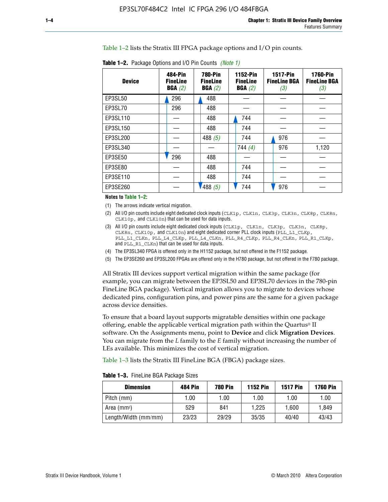Table 1–2 lists the Stratix III FPGA package options and I/O pin counts.

| <b>Device</b> | 484-Pin<br><b>FineLine</b><br>BGA(2) | <b>780-Pin</b><br><b>FineLine</b><br>BGA(2) | 1152-Pin<br><b>FineLine</b><br>BGA(2) | <b>1517-Pin</b><br><b>FineLine BGA</b><br>(3) | <b>1760-Pin</b><br><b>FineLine BGA</b><br>(3) |
|---------------|--------------------------------------|---------------------------------------------|---------------------------------------|-----------------------------------------------|-----------------------------------------------|
| EP3SL50       | 296                                  | 488                                         |                                       |                                               |                                               |
| EP3SL70       | 296                                  | 488                                         |                                       |                                               |                                               |
| EP3SL110      |                                      | 488                                         | 744                                   |                                               |                                               |
| EP3SL150      |                                      | 488                                         | 744                                   |                                               |                                               |
| EP3SL200      |                                      | 488 $(5)$                                   | 744                                   | 976                                           |                                               |
| EP3SL340      |                                      |                                             | 744 $(4)$                             | 976                                           | 1,120                                         |
| EP3SE50       | 296                                  | 488                                         |                                       |                                               |                                               |
| EP3SE80       |                                      | 488                                         | 744                                   |                                               |                                               |
| EP3SE110      |                                      | 488                                         | 744                                   |                                               |                                               |
| EP3SE260      |                                      | $'$ 488 (5)                                 | 744                                   | 976                                           |                                               |

**Table 1–2.** Package Options and I/O Pin Counts *(Note 1)*

**Notes to Table 1–2:**

(1) The arrows indicate vertical migration.

- (2) All I/O pin counts include eight dedicated clock inputs (CLK1p, CLK1n, CLK3p, CLK3n, CLK8p, CLK8n, CLK10p, and CLK10n) that can be used for data inputs.
- (3) All I/O pin counts include eight dedicated clock inputs (CLK1p, CLK1n, CLK3p, CLK3n, CLK8p, CLK8n, CLK10p, and CLK10n) and eight dedicated corner PLL clock inputs (PLL\_L1\_CLKp, PLL\_L1\_CLKn, PLL\_L4\_CLKp, PLL\_L4\_CLKn, PLL\_R4\_CLKp, PLL\_R4\_CLKn, PLL\_R1\_CLKp, and PLL\_R1\_CLKn) that can be used for data inputs.
- (4) The EP3SL340 FPGA is offered only in the H1152 package, but not offered in the F1152 package.
- (5) The EP3SE260 and EP3SL200 FPGAs are offered only in the H780 package, but not offered in the F780 package.

All Stratix III devices support vertical migration within the same package (for example, you can migrate between the EP3SL50 and EP3SL70 devices in the 780-pin FineLine BGA package). Vertical migration allows you to migrate to devices whose dedicated pins, configuration pins, and power pins are the same for a given package across device densities.

To ensure that a board layout supports migratable densities within one package offering, enable the applicable vertical migration path within the Quartus® II software. On the Assignments menu, point to **Device** and click **Migration Devices**. You can migrate from the *L* family to the *E* family without increasing the number of LEs available. This minimizes the cost of vertical migration.

Table 1–3 lists the Stratix III FineLine BGA (FBGA) package sizes.

**Table 1–3.** FineLine BGA Package Sizes

| <b>Dimension</b>     | <b>484 Pin</b> | <b>780 Pin</b> | <b>1152 Pin</b> | <b>1517 Pin</b> | <b>1760 Pin</b> |
|----------------------|----------------|----------------|-----------------|-----------------|-----------------|
| Pitch (mm)           | 1.00           | 1.00           | 1.00            | 1.00            | 1.00            |
| Area $(mm2)$         | 529            | 841            | 1.225           | 1.600           | 1.849           |
| Length/Width (mm/mm) | 23/23          | 29/29          | 35/35           | 40/40           | 43/43           |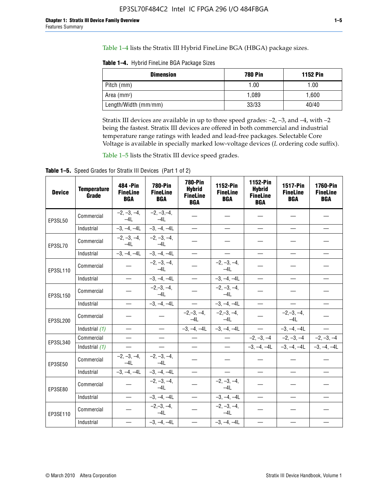Table 1–4 lists the Stratix III Hybrid FineLine BGA (HBGA) package sizes.

**Table 1–4.** Hybrid FineLine BGA Package Sizes

| <b>Dimension</b>     | <b>780 Pin</b> | <b>1152 Pin</b> |
|----------------------|----------------|-----------------|
| Pitch (mm)           | 1.00           | 1.00            |
| Area $(mm^2)$        | 1.089          | 1.600           |
| Length/Width (mm/mm) | 33/33          | 40/40           |

Stratix III devices are available in up to three speed grades: –2, –3, and –4, with –2 being the fastest. Stratix III devices are offered in both commercial and industrial temperature range ratings with leaded and lead-free packages. Selectable Core Voltage is available in specially marked low-voltage devices (*L* ordering code suffix).

Table 1–5 lists the Stratix III device speed grades.

Table 1-5. Speed Grades for Stratix III Devices (Part 1 of 2)

| <b>Device</b> | <b>Temperature</b><br>Grade | 484 - Pin<br><b>FineLine</b><br><b>BGA</b> | <b>780-Pin</b><br><b>FineLine</b><br><b>BGA</b> | <b>780-Pin</b><br><b>Hybrid</b><br><b>FineLine</b><br><b>BGA</b> | 1152-Pin<br><b>FineLine</b><br><b>BGA</b> | 1152-Pin<br><b>Hybrid</b><br><b>FineLine</b><br><b>BGA</b> | 1517-Pin<br><b>FineLine</b><br><b>BGA</b> | <b>1760-Pin</b><br><b>FineLine</b><br><b>BGA</b> |
|---------------|-----------------------------|--------------------------------------------|-------------------------------------------------|------------------------------------------------------------------|-------------------------------------------|------------------------------------------------------------|-------------------------------------------|--------------------------------------------------|
| EP3SL50       | Commercial                  | $-2, -3, -4,$<br>$-4L$                     | $-2, -3, -4,$<br>$-4L$                          |                                                                  |                                           |                                                            |                                           |                                                  |
|               | Industrial                  | $-3, -4, -4L$                              | $-3, -4, -4L$                                   | $\equiv$                                                         | $\equiv$                                  | $\overline{\phantom{0}}$                                   |                                           | $\overline{\phantom{0}}$                         |
| EP3SL70       | Commercial                  | $-2, -3, -4,$<br>$-4L$                     | $-2, -3, -4,$<br>$-41$                          |                                                                  |                                           |                                                            |                                           |                                                  |
|               | Industrial                  | $-3, -4, -4L$                              | $-3, -4, -4L$                                   | $\overbrace{\phantom{1232211}}$                                  |                                           | $\overline{\phantom{0}}$                                   | $\overline{\phantom{0}}$                  | $\overline{\phantom{0}}$                         |
| EP3SL110      | Commercial                  |                                            | $-2, -3, -4,$<br>$-4L$                          |                                                                  | $-2, -3, -4,$<br>$-4L$                    |                                                            |                                           |                                                  |
|               | Industrial                  | $\equiv$                                   | $-3, -4, -4L$                                   | $\frac{1}{1}$                                                    | $-3, -4, -4L$                             | $\frac{1}{2}$                                              |                                           | $\overline{\phantom{0}}$                         |
| EP3SL150      | Commercial                  |                                            | $-2, -3, -4,$<br>$-41$                          |                                                                  | $-2, -3, -4,$<br>$-41$                    |                                                            |                                           |                                                  |
|               | Industrial                  | $\overline{\phantom{m}}$                   | $-3, -4, -4L$                                   | $\equiv$                                                         | $-3, -4, -4L$                             | $\overline{\phantom{m}}$                                   |                                           | $\overbrace{\phantom{12322111}}$                 |
| EP3SL200      | Commercial                  |                                            |                                                 | $-2, -3, -4,$<br>$-4L$                                           | $-2, -3, -4,$<br>$-4L$                    |                                                            | $-2,-3,-4,$<br>$-4L$                      |                                                  |
|               | Industrial (1)              | $\equiv$                                   | $\equiv$                                        | $-3, -4, -4L$                                                    | $-3, -4, -4L$                             | $\equiv$                                                   | $-3, -4, -4L$                             | $\equiv$                                         |
| EP3SL340      | Commercial                  |                                            | $\equiv$                                        |                                                                  | $\overline{\phantom{m}}$                  |                                                            | $-2, -3, -4$ $-2, -3, -4$                 | $-2, -3, -4$                                     |
|               | Industrial (1)              |                                            | $\equiv$                                        | $\qquad \qquad -$                                                | $\overline{\phantom{0}}$                  |                                                            | $-3, -4, -4$ $-3, -4, -4$                 | $-3, -4, -4L$                                    |
| EP3SE50       | Commercial                  | $-2, -3, -4,$<br>$-4L$                     | $-2, -3, -4,$<br>$-4L$                          |                                                                  |                                           |                                                            |                                           |                                                  |
|               | Industrial                  | $-3, -4, -4L$                              | $-3, -4, -4L$                                   |                                                                  | $\overline{\phantom{0}}$                  |                                                            | $\overline{\phantom{0}}$                  | $\overline{\phantom{0}}$                         |
| EP3SE80       | Commercial                  |                                            | $-2, -3, -4,$<br>$-41$                          |                                                                  | $-2, -3, -4,$<br>$-4L$                    |                                                            |                                           |                                                  |
|               | Industrial                  | $\overline{\phantom{m}}$                   | $-3, -4, -4L$                                   |                                                                  | $-3, -4, -4L$                             |                                                            | $\equiv$                                  |                                                  |
| EP3SE110      | Commercial                  |                                            | $-2, -3, -4,$<br>$-4L$                          |                                                                  | $-2, -3, -4,$<br>$-4L$                    |                                                            |                                           |                                                  |
|               | Industrial                  |                                            | $-3, -4, -4L$                                   | $\equiv$                                                         | $-3, -4, -4L$                             |                                                            |                                           |                                                  |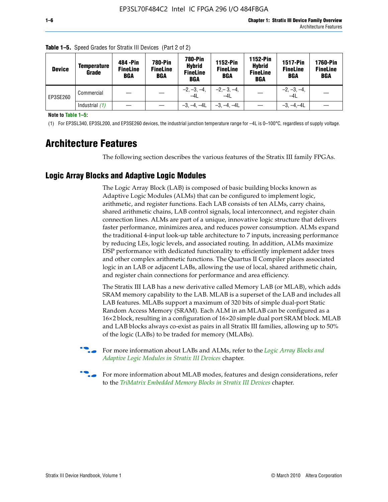| <b>Device</b> | Temperature<br>Grade | 484 - Pin<br><b>FineLine</b><br><b>BGA</b> | <b>780-Pin</b><br><b>FineLine</b><br><b>BGA</b> | <b>780-Pin</b><br><b>Hybrid</b><br><b>FineLine</b><br><b>BGA</b> | <b>1152-Pin</b><br><b>FineLine</b><br><b>BGA</b> | <b>1152-Pin</b><br><b>Hybrid</b><br><b>FineLine</b><br><b>BGA</b> | <b>1517-Pin</b><br><b>FineLine</b><br><b>BGA</b> | <b>1760-Pin</b><br><b>FineLine</b><br><b>BGA</b> |
|---------------|----------------------|--------------------------------------------|-------------------------------------------------|------------------------------------------------------------------|--------------------------------------------------|-------------------------------------------------------------------|--------------------------------------------------|--------------------------------------------------|
| EP3SE260      | Commercial           |                                            |                                                 | $-2, -3, -4,$<br>$-4L$                                           | $-2, -3, -4,$<br>$-4L$                           |                                                                   | $-2, -3, -4,$<br>$-4L$                           |                                                  |
|               | Industrial $(1)$     |                                            |                                                 | $-3, -4, -4L$                                                    | $-3, -4, -4L$                                    |                                                                   | $-3, -4, -4L$                                    |                                                  |

**Table 1–5.** Speed Grades for Stratix III Devices (Part 2 of 2)

**Note to Table 1–5:**

(1) For EP3SL340, EP3SL200, and EP3SE260 devices, the industrial junction temperature range for –4L is 0–100°C, regardless of supply voltage.

# **Architecture Features**

The following section describes the various features of the Stratix III family FPGAs.

### **Logic Array Blocks and Adaptive Logic Modules**

The Logic Array Block (LAB) is composed of basic building blocks known as Adaptive Logic Modules (ALMs) that can be configured to implement logic, arithmetic, and register functions. Each LAB consists of ten ALMs, carry chains, shared arithmetic chains, LAB control signals, local interconnect, and register chain connection lines. ALMs are part of a unique, innovative logic structure that delivers faster performance, minimizes area, and reduces power consumption. ALMs expand the traditional 4-input look-up table architecture to 7 inputs, increasing performance by reducing LEs, logic levels, and associated routing. In addition, ALMs maximize DSP performance with dedicated functionality to efficiently implement adder trees and other complex arithmetic functions. The Quartus II Compiler places associated logic in an LAB or adjacent LABs, allowing the use of local, shared arithmetic chain, and register chain connections for performance and area efficiency.

The Stratix III LAB has a new derivative called Memory LAB (or MLAB), which adds SRAM memory capability to the LAB. MLAB is a superset of the LAB and includes all LAB features. MLABs support a maximum of 320 bits of simple dual-port Static Random Access Memory (SRAM). Each ALM in an MLAB can be configured as a 16×2 block, resulting in a configuration of 16×20 simple dual port SRAM block. MLAB and LAB blocks always co-exist as pairs in all Stratix III families, allowing up to 50% of the logic (LABs) to be traded for memory (MLABs).



f For more information about LABs and ALMs, refer to the *[Logic Array Blocks and](http://www.altera.com/literature/hb/stx3/stx3_siii51002.pdf)  [Adaptive Logic Modules in Stratix III Devices](http://www.altera.com/literature/hb/stx3/stx3_siii51002.pdf)* chapter.



For more information about MLAB modes, features and design considerations, refer to the *[TriMatrix Embedded Memory Blocks in Stratix III Devices](http://www.altera.com/literature/hb/stx3/stx3_siii51004.pdf)* chapter.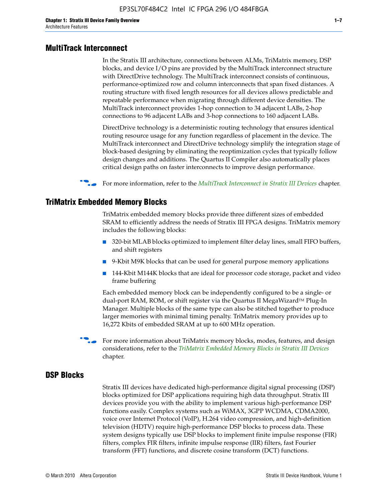#### **MultiTrack Interconnect**

In the Stratix III architecture, connections between ALMs, TriMatrix memory, DSP blocks, and device I/O pins are provided by the MultiTrack interconnect structure with DirectDrive technology. The MultiTrack interconnect consists of continuous, performance-optimized row and column interconnects that span fixed distances. A routing structure with fixed length resources for all devices allows predictable and repeatable performance when migrating through different device densities. The MultiTrack interconnect provides 1-hop connection to 34 adjacent LABs, 2-hop connections to 96 adjacent LABs and 3-hop connections to 160 adjacent LABs.

DirectDrive technology is a deterministic routing technology that ensures identical routing resource usage for any function regardless of placement in the device. The MultiTrack interconnect and DirectDrive technology simplify the integration stage of block-based designing by eliminating the reoptimization cycles that typically follow design changes and additions. The Quartus II Compiler also automatically places critical design paths on faster interconnects to improve design performance.

#### f For more information, refer to the *[MultiTrack Interconnect in Stratix III Devices](http://www.altera.com/literature/hb/stx3/stx3_siii51003.pdf)* chapter.

#### **TriMatrix Embedded Memory Blocks**

TriMatrix embedded memory blocks provide three different sizes of embedded SRAM to efficiently address the needs of Stratix III FPGA designs. TriMatrix memory includes the following blocks:

- 320-bit MLAB blocks optimized to implement filter delay lines, small FIFO buffers, and shift registers
- 9-Kbit M9K blocks that can be used for general purpose memory applications
- 144-Kbit M144K blocks that are ideal for processor code storage, packet and video frame buffering

Each embedded memory block can be independently configured to be a single- or dual-port RAM, ROM, or shift register via the Quartus II MegaWizard™ Plug-In Manager. Multiple blocks of the same type can also be stitched together to produce larger memories with minimal timing penalty. TriMatrix memory provides up to 16,272 Kbits of embedded SRAM at up to 600 MHz operation.

For more information about TriMatrix memory blocks, modes, features, and design considerations, refer to the *[TriMatrix Embedded Memory Blocks in Stratix III Devices](http://www.altera.com/literature/hb/stx3/stx3_siii51004.pdf)* chapter.

#### **DSP Blocks**

Stratix III devices have dedicated high-performance digital signal processing (DSP) blocks optimized for DSP applications requiring high data throughput. Stratix III devices provide you with the ability to implement various high-performance DSP functions easily. Complex systems such as WiMAX, 3GPP WCDMA, CDMA2000, voice over Internet Protocol (VoIP), H.264 video compression, and high-definition television (HDTV) require high-performance DSP blocks to process data. These system designs typically use DSP blocks to implement finite impulse response (FIR) filters, complex FIR filters, infinite impulse response (IIR) filters, fast Fourier transform (FFT) functions, and discrete cosine transform (DCT) functions.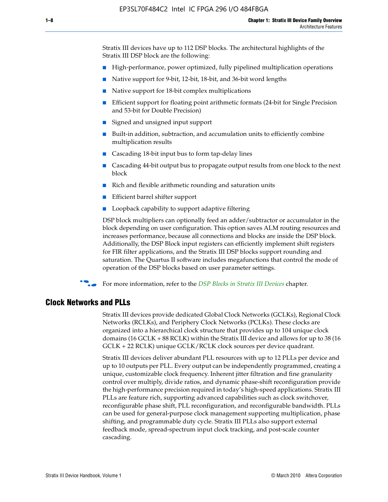Stratix III devices have up to 112 DSP blocks. The architectural highlights of the Stratix III DSP block are the following:

- High-performance, power optimized, fully pipelined multiplication operations
- Native support for 9-bit, 12-bit, 18-bit, and 36-bit word lengths
- Native support for 18-bit complex multiplications
- Efficient support for floating point arithmetic formats (24-bit for Single Precision and 53-bit for Double Precision)
- Signed and unsigned input support
- Built-in addition, subtraction, and accumulation units to efficiently combine multiplication results
- Cascading 18-bit input bus to form tap-delay lines
- Cascading 44-bit output bus to propagate output results from one block to the next block
- Rich and flexible arithmetic rounding and saturation units
- Efficient barrel shifter support
- Loopback capability to support adaptive filtering

DSP block multipliers can optionally feed an adder/subtractor or accumulator in the block depending on user configuration. This option saves ALM routing resources and increases performance, because all connections and blocks are inside the DSP block. Additionally, the DSP Block input registers can efficiently implement shift registers for FIR filter applications, and the Stratix III DSP blocks support rounding and saturation. The Quartus II software includes megafunctions that control the mode of operation of the DSP blocks based on user parameter settings.

f For more information, refer to the *[DSP Blocks in Stratix III Devices](http://www.altera.com/literature/hb/stx3/stx3_siii51005.pdf)* chapter.

#### **Clock Networks and PLLs**

Stratix III devices provide dedicated Global Clock Networks (GCLKs), Regional Clock Networks (RCLKs), and Periphery Clock Networks (PCLKs). These clocks are organized into a hierarchical clock structure that provides up to 104 unique clock domains (16 GCLK + 88 RCLK) within the Stratix III device and allows for up to 38 (16 GCLK + 22 RCLK) unique GCLK/RCLK clock sources per device quadrant.

Stratix III devices deliver abundant PLL resources with up to 12 PLLs per device and up to 10 outputs per PLL. Every output can be independently programmed, creating a unique, customizable clock frequency. Inherent jitter filtration and fine granularity control over multiply, divide ratios, and dynamic phase-shift reconfiguration provide the high-performance precision required in today's high-speed applications. Stratix III PLLs are feature rich, supporting advanced capabilities such as clock switchover, reconfigurable phase shift, PLL reconfiguration, and reconfigurable bandwidth. PLLs can be used for general-purpose clock management supporting multiplication, phase shifting, and programmable duty cycle. Stratix III PLLs also support external feedback mode, spread-spectrum input clock tracking, and post-scale counter cascading.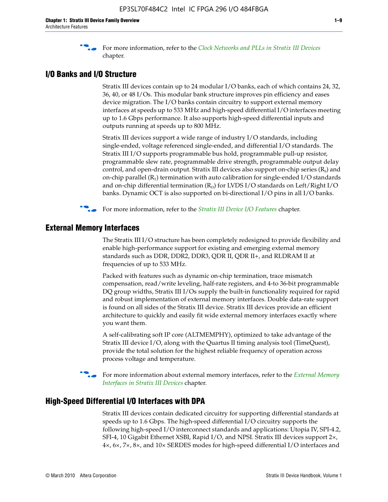f For more information, refer to the *[Clock Networks and PLLs in Stratix III Devices](http://www.altera.com/literature/hb/stx3/stx3_siii51006.pdf)* chapter.

#### **I/O Banks and I/O Structure**

Stratix III devices contain up to 24 modular I/O banks, each of which contains 24, 32, 36, 40, or 48 I/Os. This modular bank structure improves pin efficiency and eases device migration. The I/O banks contain circuitry to support external memory interfaces at speeds up to 533 MHz and high-speed differential I/O interfaces meeting up to 1.6 Gbps performance. It also supports high-speed differential inputs and outputs running at speeds up to 800 MHz.

Stratix III devices support a wide range of industry I/O standards, including single-ended, voltage referenced single-ended, and differential I/O standards. The Stratix III I/O supports programmable bus hold, programmable pull-up resistor, programmable slew rate, programmable drive strength, programmable output delay control, and open-drain output. Stratix III devices also support on-chip series  $(R<sub>s</sub>)$  and on-chip parallel  $(R_T)$  termination with auto calibration for single-ended I/O standards and on-chip differential termination  $(R_D)$  for LVDS I/O standards on Left/Right I/O banks. Dynamic OCT is also supported on bi-directional I/O pins in all I/O banks.

**For more information, refer to the** *[Stratix III Device I/O Features](http://www.altera.com/literature/hb/stx3/stx3_siii51007.pdf)* **chapter.** 

### **External Memory Interfaces**

The Stratix III I/O structure has been completely redesigned to provide flexibility and enable high-performance support for existing and emerging external memory standards such as DDR, DDR2, DDR3, QDR II, QDR II+, and RLDRAM II at frequencies of up to 533 MHz.

Packed with features such as dynamic on-chip termination, trace mismatch compensation, read/write leveling, half-rate registers, and 4-to 36-bit programmable DQ group widths, Stratix III I/Os supply the built-in functionality required for rapid and robust implementation of external memory interfaces. Double data-rate support is found on all sides of the Stratix III device. Stratix III devices provide an efficient architecture to quickly and easily fit wide external memory interfaces exactly where you want them.

A self-calibrating soft IP core (ALTMEMPHY), optimized to take advantage of the Stratix III device I/O, along with the Quartus II timing analysis tool (TimeQuest), provide the total solution for the highest reliable frequency of operation across process voltage and temperature.

f For more information about external memory interfaces, refer to the *[External Memory](http://www.altera.com/literature/hb/stx3/stx3_siii51008.pdf)  [Interfaces in Stratix III Devices](http://www.altera.com/literature/hb/stx3/stx3_siii51008.pdf)* chapter.

#### **High-Speed Differential I/O Interfaces with DPA**

Stratix III devices contain dedicated circuitry for supporting differential standards at speeds up to 1.6 Gbps. The high-speed differential I/O circuitry supports the following high-speed I/O interconnect standards and applications: Utopia IV, SPI-4.2, SFI-4, 10 Gigabit Ethernet XSBI, Rapid I/O, and NPSI. Stratix III devices support 2×, 4×, 6×, 7×, 8×, and 10× SERDES modes for high-speed differential I/O interfaces and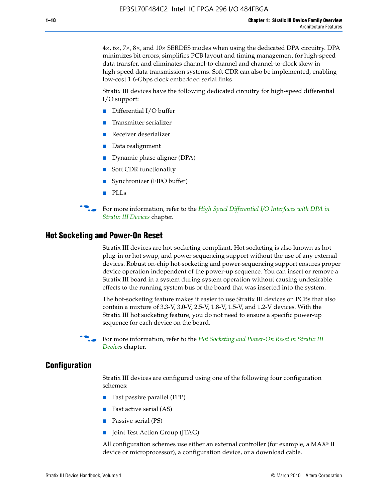4×, 6×, 7×, 8×, and 10× SERDES modes when using the dedicated DPA circuitry. DPA minimizes bit errors, simplifies PCB layout and timing management for high-speed data transfer, and eliminates channel-to-channel and channel-to-clock skew in high-speed data transmission systems. Soft CDR can also be implemented, enabling low-cost 1.6-Gbps clock embedded serial links.

Stratix III devices have the following dedicated circuitry for high-speed differential I/O support:

- Differential I/O buffer
- Transmitter serializer
- Receiver deserializer
- Data realignment
- Dynamic phase aligner (DPA)
- Soft CDR functionality
- Synchronizer (FIFO buffer)
- PLLs

**for more information, refer to the** *High Speed Differential I/O Interfaces with DPA in [Stratix III Devices](http://www.altera.com/literature/hb/stx3/stx3_siii51009.pdf)* chapter.

#### **Hot Socketing and Power-On Reset**

Stratix III devices are hot-socketing compliant. Hot socketing is also known as hot plug-in or hot swap, and power sequencing support without the use of any external devices. Robust on-chip hot-socketing and power-sequencing support ensures proper device operation independent of the power-up sequence. You can insert or remove a Stratix III board in a system during system operation without causing undesirable effects to the running system bus or the board that was inserted into the system.

The hot-socketing feature makes it easier to use Stratix III devices on PCBs that also contain a mixture of 3.3-V, 3.0-V, 2.5-V, 1.8-V, 1.5-V, and 1.2-V devices. With the Stratix III hot socketing feature, you do not need to ensure a specific power-up sequence for each device on the board.

f For more information, refer to the *[Hot Socketing and Power-On Reset in Stratix III](http://www.altera.com/literature/hb/stx3/stx3_siii51010.pdf)  [Device](http://www.altera.com/literature/hb/stx3/stx3_siii51010.pdf)s* chapter.

#### **Configuration**

Stratix III devices are configured using one of the following four configuration schemes:

- Fast passive parallel (FPP)
- Fast active serial (AS)
- Passive serial (PS)
- Joint Test Action Group (JTAG)

All configuration schemes use either an external controller (for example, a  $MAX<sup>®</sup>$  II device or microprocessor), a configuration device, or a download cable.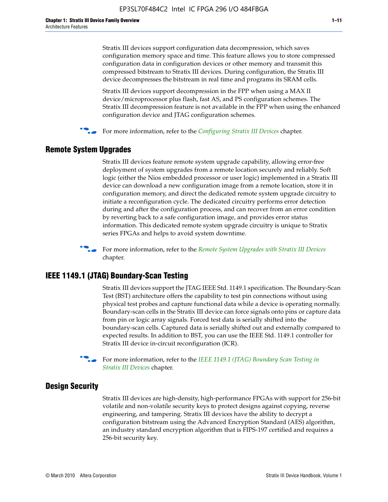Stratix III devices support configuration data decompression, which saves configuration memory space and time. This feature allows you to store compressed configuration data in configuration devices or other memory and transmit this compressed bitstream to Stratix III devices. During configuration, the Stratix III device decompresses the bitstream in real time and programs its SRAM cells.

Stratix III devices support decompression in the FPP when using a MAX II device/microprocessor plus flash, fast AS, and PS configuration schemes. The Stratix III decompression feature is not available in the FPP when using the enhanced configuration device and JTAG configuration schemes.

For more information, refer to the *[Configuring Stratix III Devices](http://www.altera.com/literature/hb/stx3/stx3_siii51011.pdf)* chapter.

### **Remote System Upgrades**

Stratix III devices feature remote system upgrade capability, allowing error-free deployment of system upgrades from a remote location securely and reliably. Soft logic (either the Nios embedded processor or user logic) implemented in a Stratix III device can download a new configuration image from a remote location, store it in configuration memory, and direct the dedicated remote system upgrade circuitry to initiate a reconfiguration cycle. The dedicated circuitry performs error detection during and after the configuration process, and can recover from an error condition by reverting back to a safe configuration image, and provides error status information. This dedicated remote system upgrade circuitry is unique to Stratix series FPGAs and helps to avoid system downtime.



**For more information, refer to the** *[Remote System Upgrades with Stratix III Devices](http://www.altera.com/literature/hb/stx3/stx3_siii51012.pdf)* chapter.

#### **IEEE 1149.1 (JTAG) Boundary-Scan Testing**

Stratix III devices support the JTAG IEEE Std. 1149.1 specification. The Boundary-Scan Test (BST) architecture offers the capability to test pin connections without using physical test probes and capture functional data while a device is operating normally. Boundary-scan cells in the Stratix III device can force signals onto pins or capture data from pin or logic array signals. Forced test data is serially shifted into the boundary-scan cells. Captured data is serially shifted out and externally compared to expected results. In addition to BST, you can use the IEEE Std. 1149.1 controller for Stratix III device in-circuit reconfiguration (ICR).

f For more information, refer to the *[IEEE 1149.1 \(JTAG\) Boundary Scan Testing in](http://www.altera.com/literature/hb/stx3/stx3_siii51013.pdf)  [Stratix III Devices](http://www.altera.com/literature/hb/stx3/stx3_siii51013.pdf)* chapter.

#### **Design Security**

Stratix III devices are high-density, high-performance FPGAs with support for 256-bit volatile and non-volatile security keys to protect designs against copying, reverse engineering, and tampering. Stratix III devices have the ability to decrypt a configuration bitstream using the Advanced Encryption Standard (AES) algorithm, an industry standard encryption algorithm that is FIPS-197 certified and requires a 256-bit security key.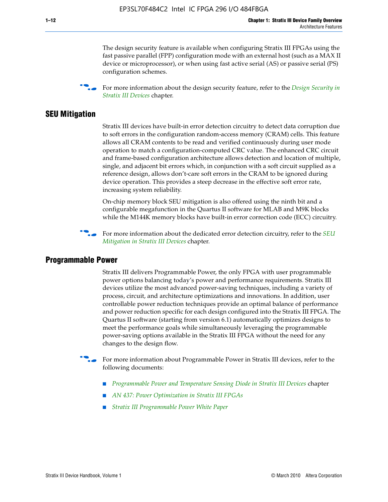The design security feature is available when configuring Stratix III FPGAs using the fast passive parallel (FPP) configuration mode with an external host (such as a MAX II device or microprocessor), or when using fast active serial (AS) or passive serial (PS) configuration schemes.

f For more information about the design security feature, refer to the *[Design Security in](http://www.altera.com/literature/hb/stx3/stx3_siii51014.pdf)  [Stratix III Devices](http://www.altera.com/literature/hb/stx3/stx3_siii51014.pdf)* chapter.

#### **SEU Mitigation**

Stratix III devices have built-in error detection circuitry to detect data corruption due to soft errors in the configuration random-access memory (CRAM) cells. This feature allows all CRAM contents to be read and verified continuously during user mode operation to match a configuration-computed CRC value. The enhanced CRC circuit and frame-based configuration architecture allows detection and location of multiple, single, and adjacent bit errors which, in conjunction with a soft circuit supplied as a reference design, allows don't-care soft errors in the CRAM to be ignored during device operation. This provides a steep decrease in the effective soft error rate, increasing system reliability.

On-chip memory block SEU mitigation is also offered using the ninth bit and a configurable megafunction in the Quartus II software for MLAB and M9K blocks while the M144K memory blocks have built-in error correction code (ECC) circuitry.

For more information about the dedicated error detection circuitry, refer to the *SEU [Mitigation in Stratix III Devices](http://www.altera.com/literature/hb/stx3/stx3_siii51015.pdf)* chapter.

#### **Programmable Power**

Stratix III delivers Programmable Power, the only FPGA with user programmable power options balancing today's power and performance requirements. Stratix III devices utilize the most advanced power-saving techniques, including a variety of process, circuit, and architecture optimizations and innovations. In addition, user controllable power reduction techniques provide an optimal balance of performance and power reduction specific for each design configured into the Stratix III FPGA. The Quartus II software (starting from version 6.1) automatically optimizes designs to meet the performance goals while simultaneously leveraging the programmable power-saving options available in the Stratix III FPGA without the need for any changes to the design flow.

For more information about Programmable Power in Stratix III devices, refer to the following documents:

- *[Programmable Power and Temperature Sensing Diode in Stratix III Devices](http://www.altera.com/literature/hb/stx3/stx3_siii51016.pdf) chapter*
- *[AN 437: Power Optimization in Stratix III FPGAs](http://www.altera.com/literature/an/AN437.pdf)*
- *[Stratix III Programmable Power White Paper](http://www.altera.com/literature/wp/wp-01006.pdf)*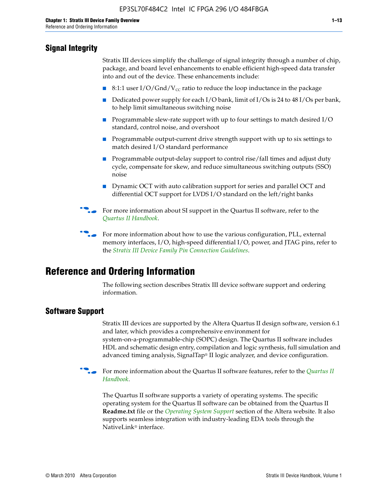## **Signal Integrity**

Stratix III devices simplify the challenge of signal integrity through a number of chip, package, and board level enhancements to enable efficient high-speed data transfer into and out of the device. These enhancements include:

- 8:1:1 user I/O/Gnd/V<sub>cc</sub> ratio to reduce the loop inductance in the package
- Dedicated power supply for each I/O bank, limit of I/Os is 24 to 48 I/Os per bank, to help limit simultaneous switching noise
- Programmable slew-rate support with up to four settings to match desired I/O standard, control noise, and overshoot
- Programmable output-current drive strength support with up to six settings to match desired I/O standard performance
- Programmable output-delay support to control rise/fall times and adjust duty cycle, compensate for skew, and reduce simultaneous switching outputs (SSO) noise
- Dynamic OCT with auto calibration support for series and parallel OCT and differential OCT support for LVDS I/O standard on the left/right banks
- For mor[e](http://www.altera.com/literature/hb/qts/quartusii_handbook.pdf) information about SI support in the Quartus II software, refer to the *[Quartus II Handbook](http://www.altera.com/literature/hb/qts/quartusii_handbook.pdf)*.

For more information about how to use the various configuration, PLL, external memory interfaces, I/O, high-speed differential I/O, power, and JTAG pins, refer to the *[Stratix III Device Family Pin Connection Guidelines](http://www.altera.com/literature/dp/stx3/PCG-01004.pdf)*.

# **Reference and Ordering Information**

The following section describes Stratix III device software support and ordering information.

### **Software Support**

Stratix III devices are supported by the Altera Quartus II design software, version 6.1 and later, which provides a comprehensive environment for system-on-a-programmable-chip (SOPC) design. The Quartus II software includes HDL and schematic design entry, compilation and logic synthesis, full simulation and advanced timing analysis, SignalTap® II logic analyzer, and device configuration.

**for more information about the [Quartus II](http://www.altera.com/literature/hb/qts/quartusii_handbook.pdf) software features, refer to the** *Quartus II* **<b>For all 2** *[Handbook](http://www.altera.com/literature/hb/qts/quartusii_handbook.pdf)*.

The Quartus II software supports a variety of operating systems. The specific operating system for the Quartus II software can be obtained from the Quartus II **Readme.txt** file or the *[Operating System Support](http://www.altera.com/support/software/os_support/oss-index.html)* section of the Altera website. It also supports seamless integration with industry-leading EDA tools through the NativeLink® interface.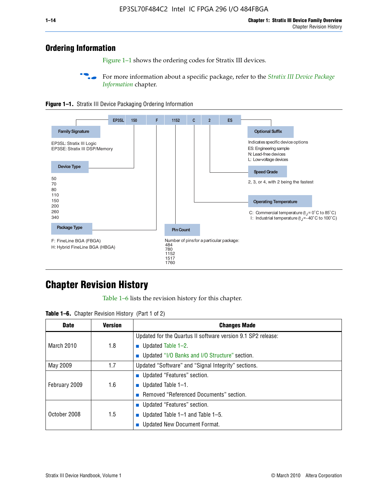## **Ordering Information**

Figure 1–1 shows the ordering codes for Stratix III devices.

For more information about a specific package, refer to the *Stratix III Device Package [Information](http://www.altera.com/literature/hb/stx3/stx3_siii51017.pdf)* chapter.





# **[C](http://www.altera.com/literature/hb/stx3/stx3_siii51012.pdf)hapter Revision History**

Table 1–6 lists the revision history for this chapter.

| <b>Table 1–6.</b> Chapter Revision History (Part 1 of 2) |  |  |  |  |  |
|----------------------------------------------------------|--|--|--|--|--|
|----------------------------------------------------------|--|--|--|--|--|

| <b>Date</b>       | <b>Version</b> | <b>Changes Made</b>                                          |
|-------------------|----------------|--------------------------------------------------------------|
|                   |                | Updated for the Quartus II software version 9.1 SP2 release: |
| <b>March 2010</b> | 1.8            | <b>u</b> Updated Table $1-2$ .                               |
|                   |                | ■ Updated "I/O Banks and I/O Structure" section.             |
| May 2009          | 1.7            | Updated "Software" and "Signal Integrity" sections.          |
|                   |                | Updated "Features" section.                                  |
| February 2009     | 1.6            | <b>u</b> Updated Table $1-1$ .                               |
|                   |                | Removed "Referenced Documents" section.                      |
|                   |                | ■ Updated "Features" section.                                |
| October 2008      | 1.5            | ■ Updated Table 1–1 and Table 1–5.                           |
|                   |                | <b>Updated New Document Format.</b>                          |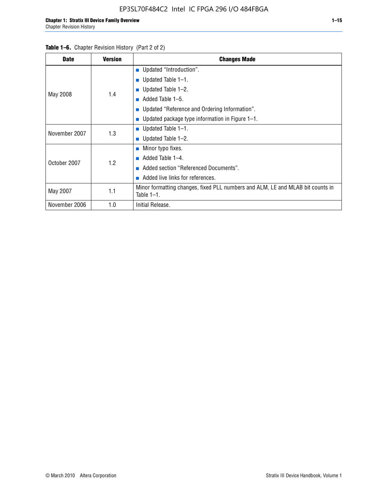| <b>Date</b>   | <b>Version</b> | <b>Changes Made</b>                                                                             |
|---------------|----------------|-------------------------------------------------------------------------------------------------|
|               |                | <b>Updated "Introduction".</b>                                                                  |
|               |                | $\blacksquare$ Updated Table 1-1.                                                               |
|               | 1.4            | <b>Updated Table 1–2.</b>                                                                       |
| May 2008      |                | Added Table 1-5.                                                                                |
|               |                | ■ Updated "Reference and Ordering Information".                                                 |
|               |                | Updated package type information in Figure 1-1.                                                 |
| November 2007 | 1.3            | $\blacksquare$ Updated Table 1-1.                                                               |
|               |                | ■ Updated Table $1-2$ .                                                                         |
|               |                | $\blacksquare$ Minor typo fixes.                                                                |
| October 2007  | 1.2            | Added Table 1-4.<br><b>COL</b>                                                                  |
|               |                | Added section "Referenced Documents".                                                           |
|               |                | Added live links for references.                                                                |
| May 2007      | 1.1            | Minor formatting changes, fixed PLL numbers and ALM, LE and MLAB bit counts in<br>Table $1-1$ . |
| November 2006 | 1.0            | Initial Release.                                                                                |